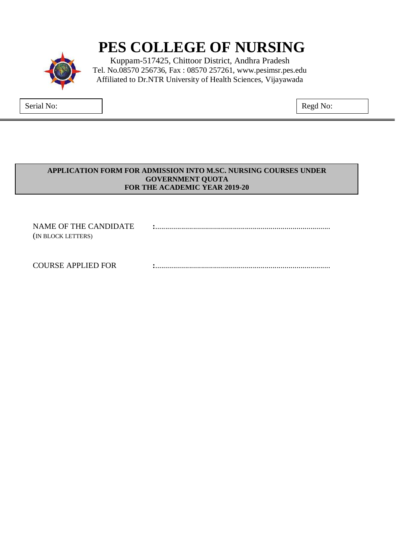# **PES COLLEGE OF NURSING**

Kuppam-517425, Chittoor District, Andhra Pradesh Tel. No.08570 256736, Fax : 08570 257261, www.pesimsr.pes.edu Affiliated to Dr.NTR University of Health Sciences, Vijayawada

Serial No:  $\qquad \qquad \vert$ 

#### **APPLICATION FORM FOR ADMISSION INTO M.SC. NURSING COURSES UNDER GOVERNMENT QUOTA FOR THE ACADEMIC YEAR 2019-20**

NAME OF THE CANDIDATE **:**........................................................................................ (IN BLOCK LETTERS) COURSE APPLIED FOR **:**........................................................................................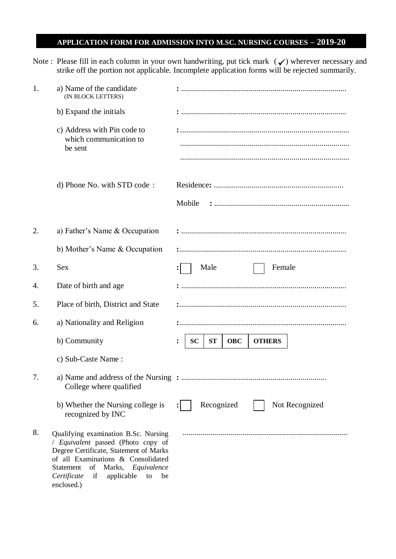## **APPLICATION FORM FOR ADMISSION INTO M.SC. NURSING COURSES – 2019-20**

Note : Please fill in each column in your own handwriting, put tick mark  $(\checkmark)$  wherever necessary and strike off the portion not applicable. Incomplete application forms will be rejected summarily.

| 1. | a) Name of the candidate<br>(IN BLOCK LETTERS)                                                                                                                                                                                                     |                                                            |  |  |  |  |
|----|----------------------------------------------------------------------------------------------------------------------------------------------------------------------------------------------------------------------------------------------------|------------------------------------------------------------|--|--|--|--|
|    | b) Expand the initials                                                                                                                                                                                                                             |                                                            |  |  |  |  |
|    | c) Address with Pin code to<br>which communication to<br>be sent                                                                                                                                                                                   |                                                            |  |  |  |  |
|    | d) Phone No. with STD code:                                                                                                                                                                                                                        | Mobile                                                     |  |  |  |  |
| 2. | a) Father's Name & Occupation                                                                                                                                                                                                                      |                                                            |  |  |  |  |
|    | b) Mother's Name & Occupation                                                                                                                                                                                                                      |                                                            |  |  |  |  |
| 3. | <b>Sex</b>                                                                                                                                                                                                                                         | Female<br>Male                                             |  |  |  |  |
| 4. | Date of birth and age                                                                                                                                                                                                                              |                                                            |  |  |  |  |
| 5. | Place of birth, District and State                                                                                                                                                                                                                 |                                                            |  |  |  |  |
| 6. | a) Nationality and Religion                                                                                                                                                                                                                        |                                                            |  |  |  |  |
|    | b) Community                                                                                                                                                                                                                                       | <b>ST</b><br><b>SC</b><br><b>OBC</b><br><b>OTHERS</b><br>፡ |  |  |  |  |
|    | c) Sub-Caste Name:                                                                                                                                                                                                                                 |                                                            |  |  |  |  |
| 7. | College where qualified                                                                                                                                                                                                                            |                                                            |  |  |  |  |
|    | b) Whether the Nursing college is<br>recognized by INC                                                                                                                                                                                             | Recognized<br>Not Recognized                               |  |  |  |  |
| 8. | Qualifying examination B.Sc. Nursing<br>/ Equivalent passed (Photo copy of<br>Degree Certificate, Statement of Marks<br>of all Examinations & Consolidated<br>of<br>Marks, Equivalence<br>Statement<br>Certificate<br>if<br>applicable<br>be<br>to |                                                            |  |  |  |  |

enclosed.)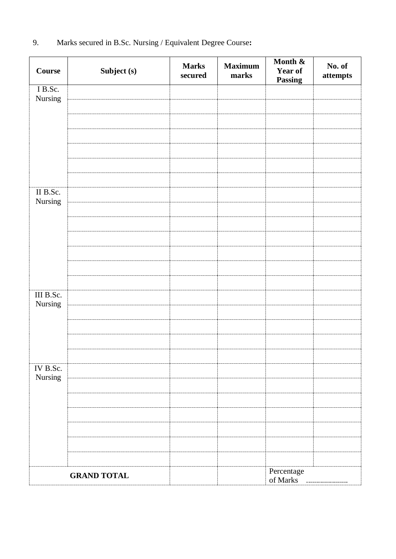| <b>Course</b>        | Subject (s)        | <b>Marks</b><br>secured | <b>Maximum</b><br>marks | Month &<br>Year of<br><b>Passing</b> | No. of<br>attempts |
|----------------------|--------------------|-------------------------|-------------------------|--------------------------------------|--------------------|
| I B.Sc.<br>Nursing   |                    |                         |                         |                                      |                    |
|                      |                    |                         |                         |                                      |                    |
|                      |                    |                         |                         |                                      |                    |
|                      |                    |                         |                         |                                      |                    |
|                      |                    |                         |                         |                                      |                    |
|                      |                    |                         |                         |                                      |                    |
|                      |                    |                         |                         |                                      |                    |
| II B.Sc.<br>Nursing  |                    |                         |                         |                                      |                    |
|                      |                    |                         |                         |                                      |                    |
|                      |                    |                         |                         |                                      |                    |
|                      |                    |                         |                         |                                      |                    |
|                      |                    |                         |                         |                                      |                    |
|                      |                    |                         |                         |                                      |                    |
|                      |                    |                         |                         |                                      |                    |
| III B.Sc.<br>Nursing |                    |                         |                         |                                      |                    |
|                      |                    |                         |                         |                                      |                    |
|                      |                    |                         |                         |                                      |                    |
|                      |                    |                         |                         |                                      |                    |
|                      |                    |                         |                         |                                      |                    |
| IV B.Sc.<br>Nursing  |                    |                         |                         |                                      |                    |
|                      |                    |                         |                         |                                      |                    |
|                      |                    |                         |                         |                                      |                    |
|                      |                    |                         |                         |                                      |                    |
|                      |                    |                         |                         |                                      |                    |
|                      |                    |                         |                         |                                      |                    |
|                      |                    |                         |                         |                                      |                    |
|                      | <b>GRAND TOTAL</b> |                         |                         | Percentage<br>of Marks               |                    |

9. Marks secured in B.Sc. Nursing / Equivalent Degree Course**:**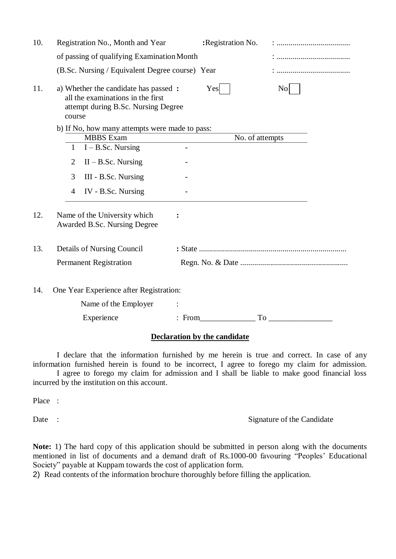| 10. | Registration No., Month and Year                                                                                            |  | :Registration No. |                                                                                                                                                                                                                                |  |  |  |
|-----|-----------------------------------------------------------------------------------------------------------------------------|--|-------------------|--------------------------------------------------------------------------------------------------------------------------------------------------------------------------------------------------------------------------------|--|--|--|
|     | of passing of qualifying Examination Month                                                                                  |  |                   |                                                                                                                                                                                                                                |  |  |  |
|     | (B.Sc. Nursing / Equivalent Degree course) Year                                                                             |  |                   |                                                                                                                                                                                                                                |  |  |  |
| 11. | a) Whether the candidate has passed :<br>all the examinations in the first<br>attempt during B.Sc. Nursing Degree<br>course |  | Yes               | $\rm{No}$                                                                                                                                                                                                                      |  |  |  |
|     | b) If No, how many attempts were made to pass:                                                                              |  |                   |                                                                                                                                                                                                                                |  |  |  |
|     | <b>MBBS</b> Exam                                                                                                            |  | No. of attempts   |                                                                                                                                                                                                                                |  |  |  |
|     | $I - B.Sc.$ Nursing<br>$\mathbf{1}$                                                                                         |  |                   |                                                                                                                                                                                                                                |  |  |  |
|     | $II - B.Sc.$ Nursing<br>2                                                                                                   |  |                   |                                                                                                                                                                                                                                |  |  |  |
|     | 3<br>III - B.Sc. Nursing                                                                                                    |  |                   |                                                                                                                                                                                                                                |  |  |  |
|     | IV - B.Sc. Nursing<br>4                                                                                                     |  |                   |                                                                                                                                                                                                                                |  |  |  |
| 12. | Name of the University which<br>Awarded B.Sc. Nursing Degree                                                                |  |                   |                                                                                                                                                                                                                                |  |  |  |
| 13. | Details of Nursing Council                                                                                                  |  |                   |                                                                                                                                                                                                                                |  |  |  |
|     | <b>Permanent Registration</b>                                                                                               |  |                   |                                                                                                                                                                                                                                |  |  |  |
| 14. | One Year Experience after Registration:                                                                                     |  |                   |                                                                                                                                                                                                                                |  |  |  |
|     | Name of the Employer                                                                                                        |  |                   |                                                                                                                                                                                                                                |  |  |  |
|     | Experience                                                                                                                  |  | $:$ From          | To the contract of the contract of the contract of the contract of the contract of the contract of the contract of the contract of the contract of the contract of the contract of the contract of the contract of the contrac |  |  |  |
|     |                                                                                                                             |  |                   |                                                                                                                                                                                                                                |  |  |  |

# **Declaration by the candidate**

I declare that the information furnished by me herein is true and correct. In case of any information furnished herein is found to be incorrect, I agree to forego my claim for admission.

I agree to forego my claim for admission and I shall be liable to make good financial loss incurred by the institution on this account.

Place :

Date : Signature of the Candidate

**Note:** 1) The hard copy of this application should be submitted in person along with the documents mentioned in list of documents and a demand draft of Rs.1000-00 favouring "Peoples' Educational Society" payable at Kuppam towards the cost of application form.

2) Read contents of the information brochure thoroughly before filling the application.